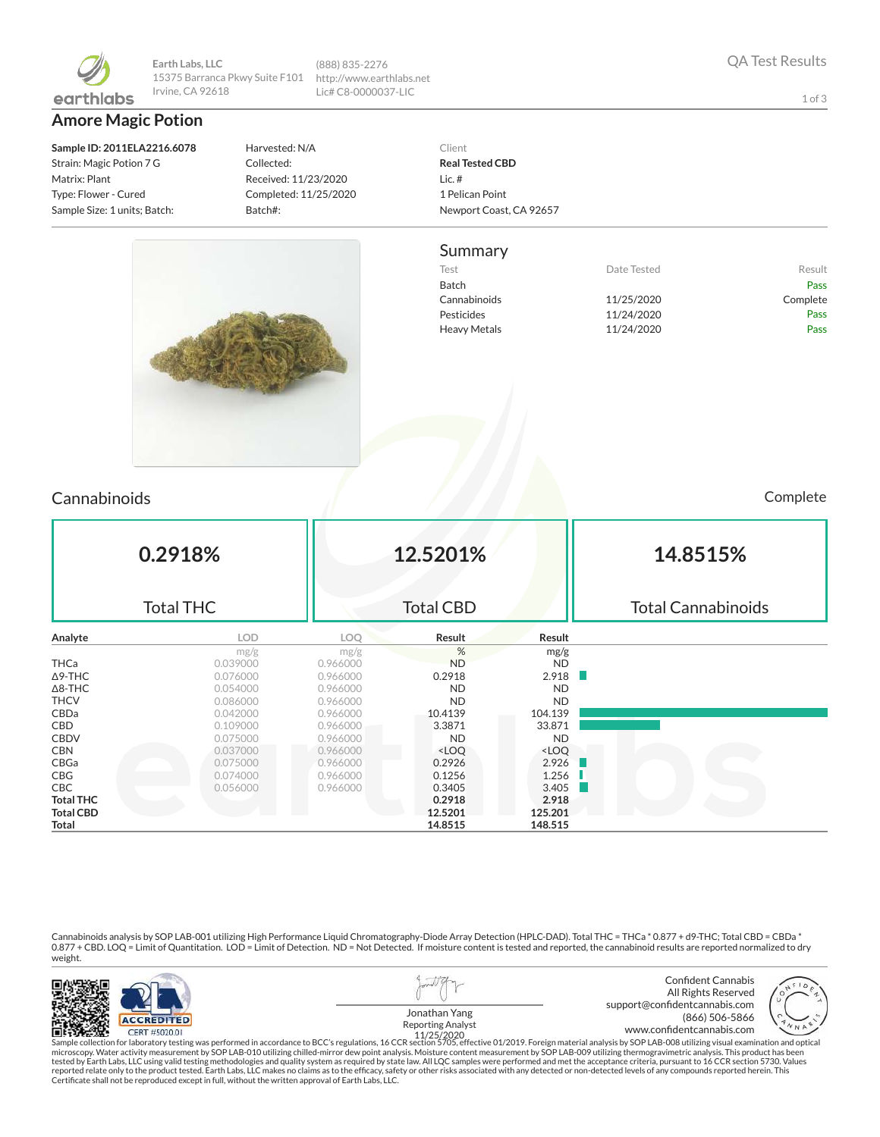

**Earth Labs, LLC** 15375 Barranca Pkwy Suite F101 Irvine, CA 92618 (888) 835-2276 http://www.earthlabs.net Lic# C8-0000037-LIC

**Amore Magic Potion**

**Sample ID: 2011ELA2216.6078** Strain: Magic Potion 7 G Matrix: Plant Type: Flower - Cured Sample Size: 1 units; Batch:

Harvested: N/A Collected: Received: 11/23/2020 Completed: 11/25/2020 Batch#:

THCV 0.086000 0.966000 ND ND CBDa 0.042000 0.966000 10.4139 104.139 CBD 0.109000 0.966000 3.3871 33.871 CBDV 0.075000 0.966000 ND ND CBN 0.037000 0.966000 <LOQ <LOQ CBGa 0.075000 0.966000 0.2926 2.926 CBG 0.074000 0.966000 0.1256 1.256 CBC 0.056000 0.966000 0.3405 3.405 **Total THC 0.2918 2.918 Total CBD** 12.5201 125.201 125.201 **Total 14.8515 148.515**

#### Client **Real Tested CBD** Lic. # 1 Pelican Point Newport Coast, CA 92657

#### Summary



| Complete |  |  |
|----------|--|--|

| Cannabinoids   |                  |          |                  |           | Complete                  |  |  |
|----------------|------------------|----------|------------------|-----------|---------------------------|--|--|
|                | 0.2918%          |          | 12.5201%         |           | 14.8515%                  |  |  |
|                | <b>Total THC</b> |          | <b>Total CBD</b> |           | <b>Total Cannabinoids</b> |  |  |
| Analyte        | LOD.             | LOQ      | Result           | Result    |                           |  |  |
|                | mg/g             | mg/g     | %                | mg/g      |                           |  |  |
| <b>THCa</b>    | 0.039000         | 0.966000 | <b>ND</b>        | <b>ND</b> |                           |  |  |
| $\Delta$ 9-THC | 0.076000         | 0.966000 | 0.2918           | 2.918     |                           |  |  |
| $\Delta$ 8-THC | 0.054000         | 0.966000 | <b>ND</b>        | <b>ND</b> |                           |  |  |

Cannabinoids analysis by SOP LAB-001 utilizing High Performance Liquid Chromatography-Diode Array Detection (HPLC-DAD). Total THC = THCa \* 0.877 + d9-THC; Total CBD = CBDa \*<br>0.877 + CBD. LOQ = Limit of Quantitation. LOD = weight.



Sample collection for laboratory testing was performed in accordance to BCC's regulations, 16 CCR section 5705, effective 01/2019. Foreign material analysis by SOP LAB-008 utilizing visual examination and optical microscop Certicate shall not be reproduced except in full, without the written approval of Earth Labs, LLC.

1 of 3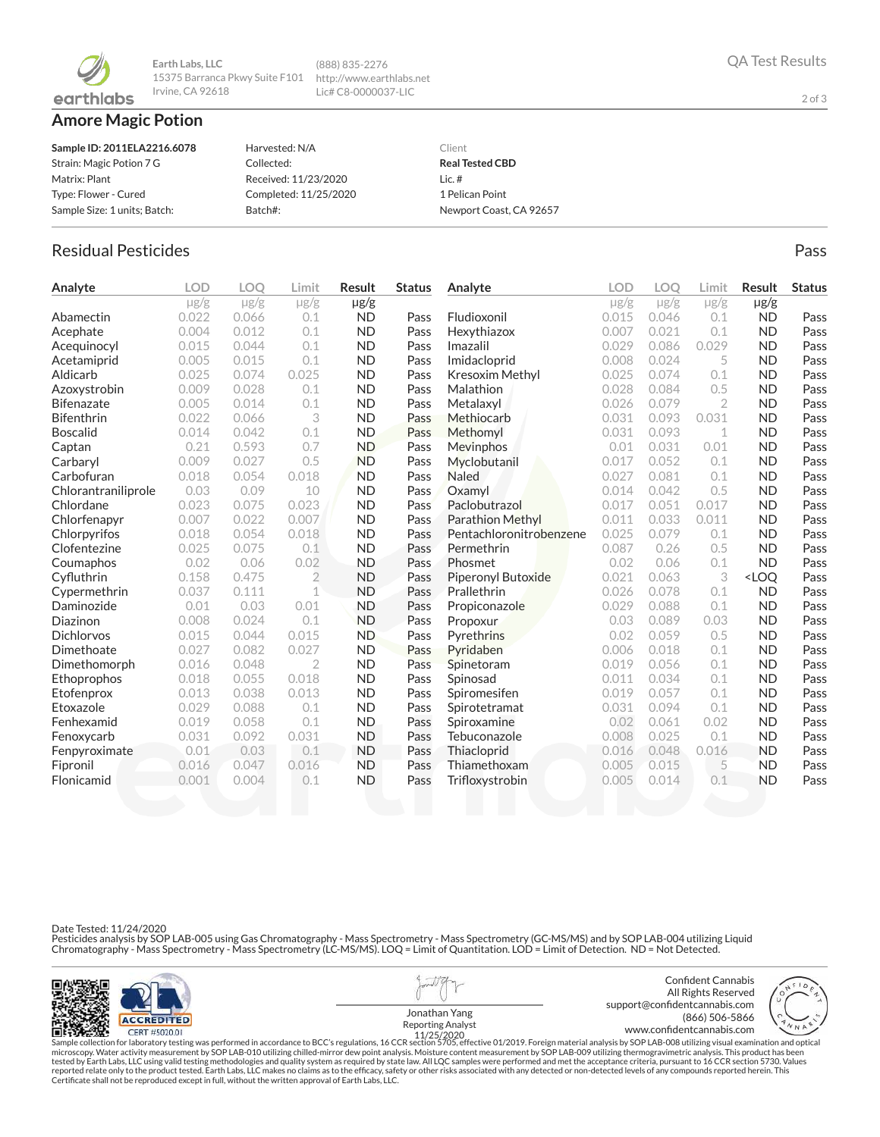

**Earth Labs, LLC** 15375 Barranca Pkwy Suite F101 http://www.earthlabs.net Irvine, CA 92618 (888) 835-2276 Lic# C8-0000037-LIC

## **Amore Magic Potion**

| Sample ID: 2011ELA2216.6078  | Harvested: N/A        | Client                  |
|------------------------------|-----------------------|-------------------------|
| Strain: Magic Potion 7 G     | Collected:            | <b>Real Tested CBD</b>  |
| Matrix: Plant                | Received: 11/23/2020  | Lic. $#$                |
| Type: Flower - Cured         | Completed: 11/25/2020 | 1 Pelican Point         |
| Sample Size: 1 units; Batch: | Batch#:               | Newport Coast, CA 92657 |

# Residual Pesticides **Passage Community Community Community** Pass Pass Pass

| Analyte             | <b>LOD</b> | LOO       | Limit          | Result    | <b>Status</b> | Analyte                 | <b>LOD</b> | LOO       | Limit          | Result                           | <b>Status</b> |
|---------------------|------------|-----------|----------------|-----------|---------------|-------------------------|------------|-----------|----------------|----------------------------------|---------------|
|                     | $\mu$ g/g  | $\mu$ g/g | $\mu$ g/g      | $\mu$ g/g |               |                         | $\mu$ g/g  | $\mu$ g/g | $\mu$ g/g      | $\mu$ g/g                        |               |
| Abamectin           | 0.022      | 0.066     | 0.1            | <b>ND</b> | Pass          | Fludioxonil             | 0.015      | 0.046     | 0.1            | <b>ND</b>                        | Pass          |
| Acephate            | 0.004      | 0.012     | 0.1            | <b>ND</b> | Pass          | Hexythiazox             | 0.007      | 0.021     | 0.1            | <b>ND</b>                        | Pass          |
| Acequinocyl         | 0.015      | 0.044     | 0.1            | <b>ND</b> | Pass          | Imazalil                | 0.029      | 0.086     | 0.029          | <b>ND</b>                        | Pass          |
| Acetamiprid         | 0.005      | 0.015     | 0.1            | <b>ND</b> | Pass          | Imidacloprid            | 0.008      | 0.024     | 5              | <b>ND</b>                        | Pass          |
| Aldicarb            | 0.025      | 0.074     | 0.025          | <b>ND</b> | Pass          | Kresoxim Methyl         | 0.025      | 0.074     | 0.1            | <b>ND</b>                        | Pass          |
| Azoxystrobin        | 0.009      | 0.028     | 0.1            | <b>ND</b> | Pass          | Malathion               | 0.028      | 0.084     | 0.5            | <b>ND</b>                        | Pass          |
| <b>Bifenazate</b>   | 0.005      | 0.014     | 0.1            | <b>ND</b> | Pass          | Metalaxyl               | 0.026      | 0.079     | $\overline{2}$ | <b>ND</b>                        | Pass          |
| <b>Bifenthrin</b>   | 0.022      | 0.066     | 3              | <b>ND</b> | Pass          | Methiocarb              | 0.031      | 0.093     | 0.031          | <b>ND</b>                        | Pass          |
| <b>Boscalid</b>     | 0.014      | 0.042     | 0.1            | <b>ND</b> | Pass          | Methomyl                | 0.031      | 0.093     | 1              | <b>ND</b>                        | Pass          |
| Captan              | 0.21       | 0.593     | 0.7            | <b>ND</b> | Pass          | Mevinphos               | 0.01       | 0.031     | 0.01           | <b>ND</b>                        | Pass          |
| Carbaryl            | 0.009      | 0.027     | 0.5            | <b>ND</b> | Pass          | Myclobutanil            | 0.017      | 0.052     | 0.1            | <b>ND</b>                        | Pass          |
| Carbofuran          | 0.018      | 0.054     | 0.018          | <b>ND</b> | Pass          | <b>Naled</b>            | 0.027      | 0.081     | 0.1            | <b>ND</b>                        | Pass          |
| Chlorantraniliprole | 0.03       | 0.09      | 10             | <b>ND</b> | Pass          | Oxamyl                  | 0.014      | 0.042     | 0.5            | <b>ND</b>                        | Pass          |
| Chlordane           | 0.023      | 0.075     | 0.023          | <b>ND</b> | Pass          | Paclobutrazol           | 0.017      | 0.051     | 0.017          | <b>ND</b>                        | Pass          |
| Chlorfenapyr        | 0.007      | 0.022     | 0.007          | <b>ND</b> | Pass          | <b>Parathion Methyl</b> | 0.011      | 0.033     | 0.011          | <b>ND</b>                        | Pass          |
| Chlorpyrifos        | 0.018      | 0.054     | 0.018          | <b>ND</b> | Pass          | Pentachloronitrobenzene | 0.025      | 0.079     | 0.1            | <b>ND</b>                        | Pass          |
| Clofentezine        | 0.025      | 0.075     | 0.1            | <b>ND</b> | Pass          | Permethrin              | 0.087      | 0.26      | 0.5            | <b>ND</b>                        | Pass          |
| Coumaphos           | 0.02       | 0.06      | 0.02           | <b>ND</b> | Pass          | Phosmet                 | 0.02       | 0.06      | 0.1            | <b>ND</b>                        | Pass          |
| Cyfluthrin          | 0.158      | 0.475     | $\overline{2}$ | <b>ND</b> | Pass          | Piperonyl Butoxide      | 0.021      | 0.063     | 3              | <loq< td=""><td>Pass</td></loq<> | Pass          |
| Cypermethrin        | 0.037      | 0.111     | 1              | <b>ND</b> | Pass          | Prallethrin             | 0.026      | 0.078     | 0.1            | <b>ND</b>                        | Pass          |
| Daminozide          | 0.01       | 0.03      | 0.01           | <b>ND</b> | Pass          | Propiconazole           | 0.029      | 0.088     | 0.1            | <b>ND</b>                        | Pass          |
| Diazinon            | 0.008      | 0.024     | 0.1            | <b>ND</b> | Pass          | <b>Propoxur</b>         | 0.03       | 0.089     | 0.03           | <b>ND</b>                        | Pass          |
| <b>Dichlorvos</b>   | 0.015      | 0.044     | 0.015          | <b>ND</b> | Pass          | Pyrethrins              | 0.02       | 0.059     | 0.5            | <b>ND</b>                        | Pass          |
| Dimethoate          | 0.027      | 0.082     | 0.027          | <b>ND</b> | Pass          | Pyridaben               | 0.006      | 0.018     | 0.1            | <b>ND</b>                        | Pass          |
| Dimethomorph        | 0.016      | 0.048     | $\overline{2}$ | <b>ND</b> | Pass          | Spinetoram              | 0.019      | 0.056     | 0.1            | <b>ND</b>                        | Pass          |
| Ethoprophos         | 0.018      | 0.055     | 0.018          | <b>ND</b> | Pass          | Spinosad                | 0.011      | 0.034     | 0.1            | <b>ND</b>                        | Pass          |
| Etofenprox          | 0.013      | 0.038     | 0.013          | <b>ND</b> | Pass          | Spiromesifen            | 0.019      | 0.057     | 0.1            | <b>ND</b>                        | Pass          |
| Etoxazole           | 0.029      | 0.088     | 0.1            | <b>ND</b> | Pass          | Spirotetramat           | 0.031      | 0.094     | 0.1            | <b>ND</b>                        | Pass          |
| Fenhexamid          | 0.019      | 0.058     | 0.1            | <b>ND</b> | Pass          | Spiroxamine             | 0.02       | 0.061     | 0.02           | <b>ND</b>                        | Pass          |
| Fenoxycarb          | 0.031      | 0.092     | 0.031          | <b>ND</b> | Pass          | Tebuconazole            | 0.008      | 0.025     | 0.1            | <b>ND</b>                        | Pass          |
| Fenpyroximate       | 0.01       | 0.03      | 0.1            | <b>ND</b> | Pass          | Thiacloprid             | 0.016      | 0.048     | 0.016          | <b>ND</b>                        | Pass          |
| Fipronil            | 0.016      | 0.047     | 0.016          | <b>ND</b> | Pass          | Thiamethoxam            | 0.005      | 0.015     | 5              | <b>ND</b>                        | Pass          |
| Flonicamid          | 0.001      | 0.004     | 0.1            | <b>ND</b> | Pass          | Trifloxystrobin         | 0.005      | 0.014     | 0.1            | <b>ND</b>                        | Pass          |
|                     |            |           |                |           |               |                         |            |           |                |                                  |               |

Date Tested: 11/24/2020

Pesticides analysis by SOP LAB-005 using Gas Chromatography - Mass Spectrometry - Mass Spectrometry (GC-MS/MS) and by SOP LAB-004 utilizing Liquid<br>Chromatography - Mass Spectrometry - Mass Spectrometry (LC-MS/MS). LOQ = Li



Confident Cannabis All Rights Reserved support@confidentcannabis.com (866) 506-5866 www.confidentcannabis.com



Jonathan Yang Reporting Analyst 11/25/2020

Sample collection for laboratory testing was performed in accordance to BCC's regulations, 16 CCR section 5705, effective 01/2019. Foreign material analysis by SOP LAB-008 utilizing visual examination and optical fissure o

2 of 3